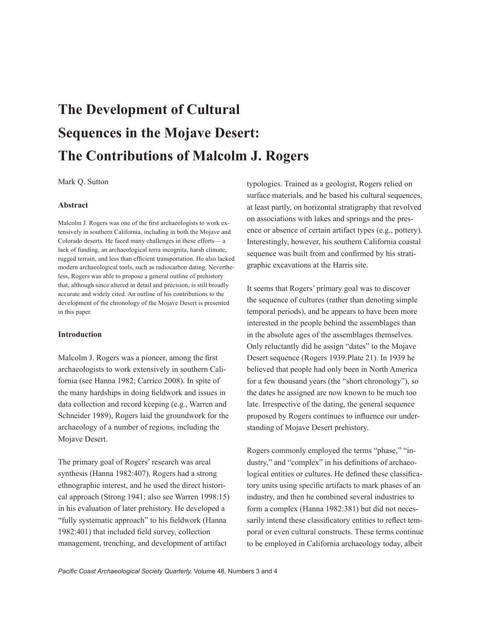# **The Development of Cultural Sequences in the Mojave Desert: The Contributions of Malcolm J. Rogers**

Mark Q. Sutton

#### **Abstract**

Malcolm J. Rogers was one of the first archaeologists to work extensively in southern California, including in both the Mojave and Colorado deserts. He faced many challenges in these efforts— a lack of funding, an archaeological terra incognita, harsh climate, rugged terrain, and less than efficient transportation. He also lacked modern archaeological tools, such as radiocarbon dating. Nevertheless, Rogers was able to propose a general outline of prehistory that, although since altered in detail and precision, is still broadly accurate and widely cited. An outline of his contributions to the development of the chronology of the Mojave Desert is presented in this paper.

#### **Introduction**

Malcolm J. Rogers was a pioneer, among the first archaeologists to work extensively in southern California (see Hanna 1982; Carrico 2008). In spite of the many hardships in doing fieldwork and issues in data collection and record keeping (e.g., Warren and Schneider 1989), Rogers laid the groundwork for the archaeology of a number of regions, including the Mojave Desert.

The primary goal of Rogers' research was areal synthesis (Hanna 1982:407). Rogers had a strong ethnographic interest, and he used the direct historical approach (Strong 1941; also see Warren 1998:15) in his evaluation of later prehistory. He developed a "fully systematic approach" to his fieldwork (Hanna 1982:401) that included field survey, collection management, trenching, and development of artifact

typologies. Trained as a geologist, Rogers relied on surface materials, and he based his cultural sequences, at least partly, on horizontal stratigraphy that revolved on associations with lakes and springs and the presence or absence of certain artifact types (e.g., pottery). Interestingly, however, his southern California coastal sequence was built from and confirmed by his stratigraphic excavations at the Harris site.

It seems that Rogers' primary goal was to discover the sequence of cultures (rather than denoting simple temporal periods), and he appears to have been more interested in the people behind the assemblages than in the absolute ages of the assemblages themselves. Only reluctantly did he assign "dates" to the Mojave Desert sequence (Rogers 1939:Plate 21). In 1939 he believed that people had only been in North America for a few thousand years (the "short chronology"), so the dates he assigned are now known to be much too late. Irrespective of the dating, the general sequence proposed by Rogers continues to influence our understanding of Mojave Desert prehistory.

Rogers commonly employed the terms "phase," "industry," and "complex" in his definitions of archaeological entities or cultures. He defined these classificatory units using specific artifacts to mark phases of an industry, and then he combined several industries to form a complex (Hanna 1982:381) but did not necessarily intend these classificatory entities to reflect temporal or even cultural constructs. These terms continue to be employed in California archaeology today, albeit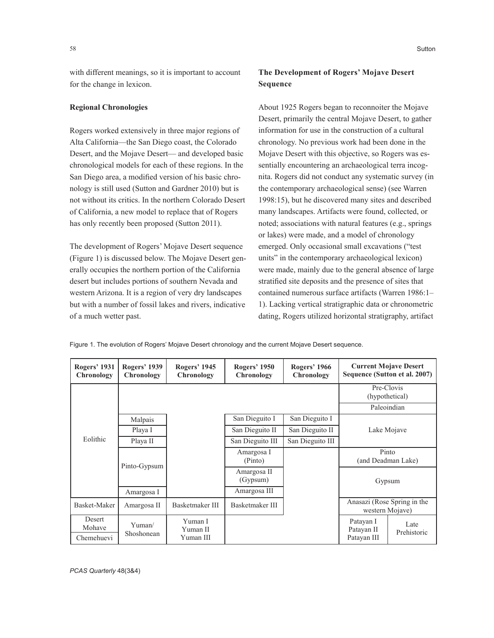with different meanings, so it is important to account for the change in lexicon.

## **Regional Chronologies**

Rogers worked extensively in three major regions of Alta California—the San Diego coast, the Colorado Desert, and the Mojave Desert— and developed basic chronological models for each of these regions. In the San Diego area, a modified version of his basic chronology is still used (Sutton and Gardner 2010) but is not without its critics. In the northern Colorado Desert of California, a new model to replace that of Rogers has only recently been proposed (Sutton 2011).

The development of Rogers' Mojave Desert sequence (Figure 1) is discussed below. The Mojave Desert generally occupies the northern portion of the California desert but includes portions of southern Nevada and western Arizona. It is a region of very dry landscapes but with a number of fossil lakes and rivers, indicative of a much wetter past.

About 1925 Rogers began to reconnoiter the Mojave Desert, primarily the central Mojave Desert, to gather information for use in the construction of a cultural chronology. No previous work had been done in the Mojave Desert with this objective, so Rogers was essentially encountering an archaeological terra incognita. Rogers did not conduct any systematic survey (in the contemporary archaeological sense) (see Warren 1998:15), but he discovered many sites and described many landscapes. Artifacts were found, collected, or noted; associations with natural features (e.g., springs or lakes) were made, and a model of chronology emerged. Only occasional small excavations ("test units" in the contemporary archaeological lexicon) were made, mainly due to the general absence of large stratified site deposits and the presence of sites that contained numerous surface artifacts (Warren 1986:1– 1). Lacking vertical stratigraphic data or chronometric dating, Rogers utilized horizontal stratigraphy, artifact

Figure 1. The evolution of Rogers' Mojave Desert chronology and the current Mojave Desert sequence.

| <b>Rogers' 1931</b><br>Chronology | <b>Rogers' 1939</b><br>Chronology | <b>Rogers' 1945</b><br>Chronology | <b>Rogers' 1950</b><br>Chronology | <b>Rogers' 1966</b><br>Chronology | <b>Current Mojave Desert</b><br>Sequence (Sutton et al. 2007) |             |
|-----------------------------------|-----------------------------------|-----------------------------------|-----------------------------------|-----------------------------------|---------------------------------------------------------------|-------------|
|                                   |                                   |                                   |                                   |                                   | (hypothetical)                                                | Pre-Clovis  |
| Eolithic                          |                                   |                                   |                                   |                                   |                                                               | Paleoindian |
|                                   | Malpais                           |                                   | San Dieguito I                    | San Dieguito I                    | Lake Mojave<br>Pinto<br>(and Deadman Lake)<br>Gypsum          |             |
|                                   | Playa I                           |                                   | San Dieguito II                   | San Dieguito II                   |                                                               |             |
|                                   | Playa II                          |                                   | San Dieguito III                  | San Dieguito III                  |                                                               |             |
|                                   | Pinto-Gypsum                      |                                   | Amargosa I<br>(Pinto)             |                                   |                                                               |             |
|                                   |                                   |                                   | Amargosa II<br>(Gypsum)           |                                   |                                                               |             |
|                                   | Amargosa I                        |                                   | Amargosa III                      |                                   |                                                               |             |
| Basket-Maker                      | Amargosa II                       | Basketmaker III                   | Basketmaker III                   |                                   | Anasazi (Rose Spring in the<br>western Mojave)                |             |
| Desert<br>Mohave<br>Chemehuevi    | Yuman/<br>Shoshonean              | Yuman I<br>Yuman II<br>Yuman III  |                                   |                                   | Patayan I<br>Late<br>Patayan II<br>Prehistoric<br>Patayan III |             |

*PCAS Quarterly* 48(3&4)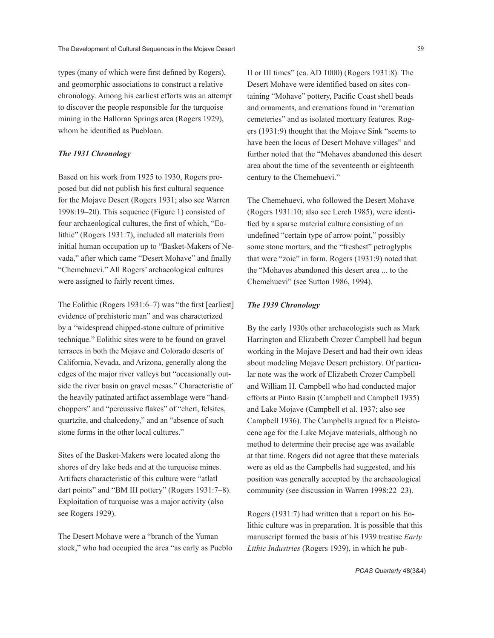types (many of which were first defined by Rogers), and geomorphic associations to construct a relative chronology. Among his earliest efforts was an attempt to discover the people responsible for the turquoise mining in the Halloran Springs area (Rogers 1929), whom he identified as Puebloan.

# *The 1931 Chronology*

Based on his work from 1925 to 1930, Rogers proposed but did not publish his first cultural sequence for the Mojave Desert (Rogers 1931; also see Warren 1998:19–20). This sequence (Figure 1) consisted of four archaeological cultures, the first of which, "Eolithic" (Rogers 1931:7), included all materials from initial human occupation up to "Basket-Makers of Nevada," after which came "Desert Mohave" and finally "Chemehuevi." All Rogers' archaeological cultures were assigned to fairly recent times.

The Eolithic (Rogers 1931:6–7) was "the first [earliest] evidence of prehistoric man" and was characterized by a "widespread chipped-stone culture of primitive technique." Eolithic sites were to be found on gravel terraces in both the Mojave and Colorado deserts of California, Nevada, and Arizona, generally along the edges of the major river valleys but "occasionally outside the river basin on gravel mesas." Characteristic of the heavily patinated artifact assemblage were "handchoppers" and "percussive flakes" of "chert, felsites, quartzite, and chalcedony," and an "absence of such stone forms in the other local cultures."

Sites of the Basket-Makers were located along the shores of dry lake beds and at the turquoise mines. Artifacts characteristic of this culture were "atlatl dart points" and "BM III pottery" (Rogers 1931:7–8). Exploitation of turquoise was a major activity (also see Rogers 1929).

The Desert Mohave were a "branch of the Yuman stock," who had occupied the area "as early as Pueblo II or III times" (ca. AD 1000) (Rogers 1931:8). The Desert Mohave were identified based on sites containing "Mohave" pottery, Pacific Coast shell beads and ornaments, and cremations found in "cremation cemeteries" and as isolated mortuary features. Rogers (1931:9) thought that the Mojave Sink "seems to have been the locus of Desert Mohave villages" and further noted that the "Mohaves abandoned this desert area about the time of the seventeenth or eighteenth century to the Chemehuevi."

The Chemehuevi, who followed the Desert Mohave (Rogers 1931:10; also see Lerch 1985), were identified by a sparse material culture consisting of an undefined "certain type of arrow point," possibly some stone mortars, and the "freshest" petroglyphs that were "zoic" in form. Rogers (1931:9) noted that the "Mohaves abandoned this desert area ... to the Chemehuevi" (see Sutton 1986, 1994).

# *The 1939 Chronology*

By the early 1930s other archaeologists such as Mark Harrington and Elizabeth Crozer Campbell had begun working in the Mojave Desert and had their own ideas about modeling Mojave Desert prehistory. Of particular note was the work of Elizabeth Crozer Campbell and William H. Campbell who had conducted major efforts at Pinto Basin (Campbell and Campbell 1935) and Lake Mojave (Campbell et al. 1937; also see Campbell 1936). The Campbells argued for a Pleistocene age for the Lake Mojave materials, although no method to determine their precise age was available at that time. Rogers did not agree that these materials were as old as the Campbells had suggested, and his position was generally accepted by the archaeological community (see discussion in Warren 1998:22–23).

Rogers (1931:7) had written that a report on his Eolithic culture was in preparation. It is possible that this manuscript formed the basis of his 1939 treatise *Early Lithic Industries* (Rogers 1939), in which he pub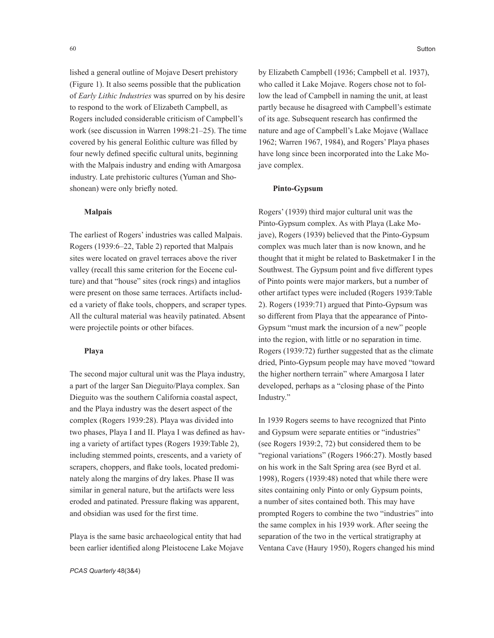lished a general outline of Mojave Desert prehistory (Figure 1). It also seems possible that the publication of *Early Lithic Industries* was spurred on by his desire to respond to the work of Elizabeth Campbell, as Rogers included considerable criticism of Campbell's work (see discussion in Warren 1998:21–25). The time covered by his general Eolithic culture was filled by four newly defined specific cultural units, beginning with the Malpais industry and ending with Amargosa industry. Late prehistoric cultures (Yuman and Shoshonean) were only briefly noted.

## **Malpais**

The earliest of Rogers' industries was called Malpais. Rogers (1939:6–22, Table 2) reported that Malpais sites were located on gravel terraces above the river valley (recall this same criterion for the Eocene culture) and that "house" sites (rock rings) and intaglios were present on those same terraces. Artifacts included a variety of flake tools, choppers, and scraper types. All the cultural material was heavily patinated. Absent were projectile points or other bifaces.

# **Playa**

The second major cultural unit was the Playa industry, a part of the larger San Dieguito/Playa complex. San Dieguito was the southern California coastal aspect, and the Playa industry was the desert aspect of the complex (Rogers 1939:28). Playa was divided into two phases, Playa I and II. Playa I was defined as having a variety of artifact types (Rogers 1939:Table 2), including stemmed points, crescents, and a variety of scrapers, choppers, and flake tools, located predominately along the margins of dry lakes. Phase II was similar in general nature, but the artifacts were less eroded and patinated. Pressure flaking was apparent, and obsidian was used for the first time.

Playa is the same basic archaeological entity that had been earlier identified along Pleistocene Lake Mojave

by Elizabeth Campbell (1936; Campbell et al. 1937), who called it Lake Mojave. Rogers chose not to follow the lead of Campbell in naming the unit, at least partly because he disagreed with Campbell's estimate of its age. Subsequent research has confirmed the nature and age of Campbell's Lake Mojave (Wallace 1962; Warren 1967, 1984), and Rogers' Playa phases have long since been incorporated into the Lake Mojave complex.

## **Pinto-Gypsum**

Rogers' (1939) third major cultural unit was the Pinto-Gypsum complex. As with Playa (Lake Mojave), Rogers (1939) believed that the Pinto-Gypsum complex was much later than is now known, and he thought that it might be related to Basketmaker I in the Southwest. The Gypsum point and five different types of Pinto points were major markers, but a number of other artifact types were included (Rogers 1939:Table 2). Rogers (1939:71) argued that Pinto-Gypsum was so different from Playa that the appearance of Pinto-Gypsum "must mark the incursion of a new" people into the region, with little or no separation in time. Rogers (1939:72) further suggested that as the climate dried, Pinto-Gypsum people may have moved "toward the higher northern terrain" where Amargosa I later developed, perhaps as a "closing phase of the Pinto Industry."

In 1939 Rogers seems to have recognized that Pinto and Gypsum were separate entities or "industries" (see Rogers 1939:2, 72) but considered them to be "regional variations" (Rogers 1966:27). Mostly based on his work in the Salt Spring area (see Byrd et al. 1998), Rogers (1939:48) noted that while there were sites containing only Pinto or only Gypsum points, a number of sites contained both. This may have prompted Rogers to combine the two "industries" into the same complex in his 1939 work. After seeing the separation of the two in the vertical stratigraphy at Ventana Cave (Haury 1950), Rogers changed his mind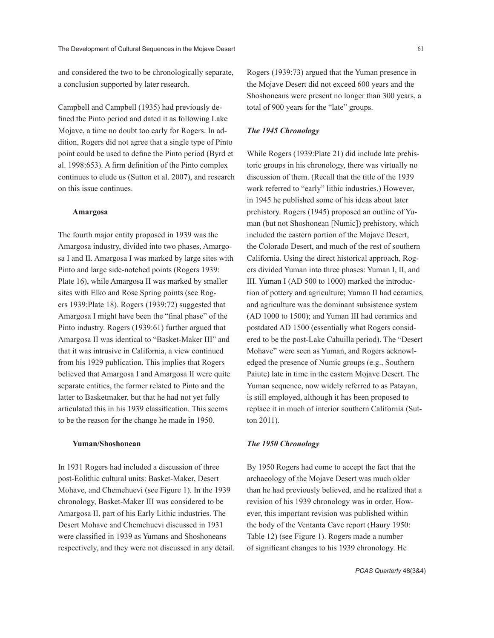and considered the two to be chronologically separate, a conclusion supported by later research.

Campbell and Campbell (1935) had previously defined the Pinto period and dated it as following Lake Mojave, a time no doubt too early for Rogers. In addition, Rogers did not agree that a single type of Pinto point could be used to define the Pinto period (Byrd et al. 1998:653). A firm definition of the Pinto complex continues to elude us (Sutton et al. 2007), and research on this issue continues.

#### **Amargosa**

The fourth major entity proposed in 1939 was the Amargosa industry, divided into two phases, Amargosa I and II. Amargosa I was marked by large sites with Pinto and large side-notched points (Rogers 1939: Plate 16), while Amargosa II was marked by smaller sites with Elko and Rose Spring points (see Rogers 1939:Plate 18). Rogers (1939:72) suggested that Amargosa I might have been the "final phase" of the Pinto industry. Rogers (1939:61) further argued that Amargosa II was identical to "Basket-Maker III" and that it was intrusive in California, a view continued from his 1929 publication. This implies that Rogers believed that Amargosa I and Amargosa II were quite separate entities, the former related to Pinto and the latter to Basketmaker, but that he had not yet fully articulated this in his 1939 classification. This seems to be the reason for the change he made in 1950.

#### **Yuman/Shoshonean**

In 1931 Rogers had included a discussion of three post-Eolithic cultural units: Basket-Maker, Desert Mohave, and Chemehuevi (see Figure 1). In the 1939 chronology, Basket-Maker III was considered to be Amargosa II, part of his Early Lithic industries. The Desert Mohave and Chemehuevi discussed in 1931 were classified in 1939 as Yumans and Shoshoneans respectively, and they were not discussed in any detail. Rogers (1939:73) argued that the Yuman presence in the Mojave Desert did not exceed 600 years and the Shoshoneans were present no longer than 300 years, a total of 900 years for the "late" groups.

## *The 1945 Chronology*

While Rogers (1939:Plate 21) did include late prehistoric groups in his chronology, there was virtually no discussion of them. (Recall that the title of the 1939 work referred to "early" lithic industries.) However, in 1945 he published some of his ideas about later prehistory. Rogers (1945) proposed an outline of Yuman (but not Shoshonean [Numic]) prehistory, which included the eastern portion of the Mojave Desert, the Colorado Desert, and much of the rest of southern California. Using the direct historical approach, Rogers divided Yuman into three phases: Yuman I, II, and III. Yuman I (AD 500 to 1000) marked the introduction of pottery and agriculture; Yuman II had ceramics, and agriculture was the dominant subsistence system (AD 1000 to 1500); and Yuman III had ceramics and postdated AD 1500 (essentially what Rogers considered to be the post-Lake Cahuilla period). The "Desert Mohave" were seen as Yuman, and Rogers acknowledged the presence of Numic groups (e.g., Southern Paiute) late in time in the eastern Mojave Desert. The Yuman sequence, now widely referred to as Patayan, is still employed, although it has been proposed to replace it in much of interior southern California (Sutton 2011).

#### *The 1950 Chronology*

By 1950 Rogers had come to accept the fact that the archaeology of the Mojave Desert was much older than he had previously believed, and he realized that a revision of his 1939 chronology was in order. However, this important revision was published within the body of the Ventanta Cave report (Haury 1950: Table 12) (see Figure 1). Rogers made a number of significant changes to his 1939 chronology. He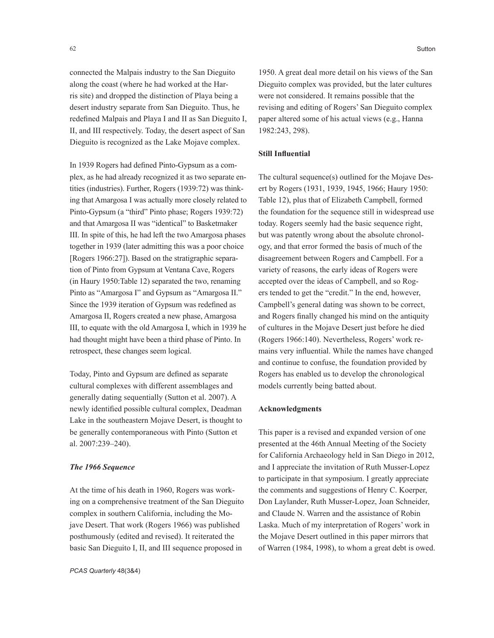connected the Malpais industry to the San Dieguito along the coast (where he had worked at the Harris site) and dropped the distinction of Playa being a desert industry separate from San Dieguito. Thus, he redefined Malpais and Playa I and II as San Dieguito I, II, and III respectively. Today, the desert aspect of San Dieguito is recognized as the Lake Mojave complex.

In 1939 Rogers had defined Pinto-Gypsum as a complex, as he had already recognized it as two separate entities (industries). Further, Rogers (1939:72) was thinking that Amargosa I was actually more closely related to Pinto-Gypsum (a "third" Pinto phase; Rogers 1939:72) and that Amargosa II was "identical" to Basketmaker III. In spite of this, he had left the two Amargosa phases together in 1939 (later admitting this was a poor choice [Rogers 1966:27]). Based on the stratigraphic separation of Pinto from Gypsum at Ventana Cave, Rogers (in Haury 1950:Table 12) separated the two, renaming Pinto as "Amargosa I" and Gypsum as "Amargosa II." Since the 1939 iteration of Gypsum was redefined as Amargosa II, Rogers created a new phase, Amargosa III, to equate with the old Amargosa I, which in 1939 he had thought might have been a third phase of Pinto. In retrospect, these changes seem logical.

Today, Pinto and Gypsum are defined as separate cultural complexes with different assemblages and generally dating sequentially (Sutton et al. 2007). A newly identified possible cultural complex, Deadman Lake in the southeastern Mojave Desert, is thought to be generally contemporaneous with Pinto (Sutton et al. 2007:239–240).

#### *The 1966 Sequence*

At the time of his death in 1960, Rogers was working on a comprehensive treatment of the San Dieguito complex in southern California, including the Mojave Desert. That work (Rogers 1966) was published posthumously (edited and revised). It reiterated the basic San Dieguito I, II, and III sequence proposed in

1950. A great deal more detail on his views of the San Dieguito complex was provided, but the later cultures were not considered. It remains possible that the revising and editing of Rogers' San Dieguito complex paper altered some of his actual views (e.g., Hanna 1982:243, 298).

## **Still Influential**

The cultural sequence(s) outlined for the Mojave Desert by Rogers (1931, 1939, 1945, 1966; Haury 1950: Table 12), plus that of Elizabeth Campbell, formed the foundation for the sequence still in widespread use today. Rogers seemly had the basic sequence right, but was patently wrong about the absolute chronology, and that error formed the basis of much of the disagreement between Rogers and Campbell. For a variety of reasons, the early ideas of Rogers were accepted over the ideas of Campbell, and so Rogers tended to get the "credit." In the end, however, Campbell's general dating was shown to be correct, and Rogers finally changed his mind on the antiquity of cultures in the Mojave Desert just before he died (Rogers 1966:140). Nevertheless, Rogers' work remains very influential. While the names have changed and continue to confuse, the foundation provided by Rogers has enabled us to develop the chronological models currently being batted about.

## **Acknowledgments**

This paper is a revised and expanded version of one presented at the 46th Annual Meeting of the Society for California Archaeology held in San Diego in 2012, and I appreciate the invitation of Ruth Musser-Lopez to participate in that symposium. I greatly appreciate the comments and suggestions of Henry C. Koerper, Don Laylander, Ruth Musser-Lopez, Joan Schneider, and Claude N. Warren and the assistance of Robin Laska. Much of my interpretation of Rogers' work in the Mojave Desert outlined in this paper mirrors that of Warren (1984, 1998), to whom a great debt is owed.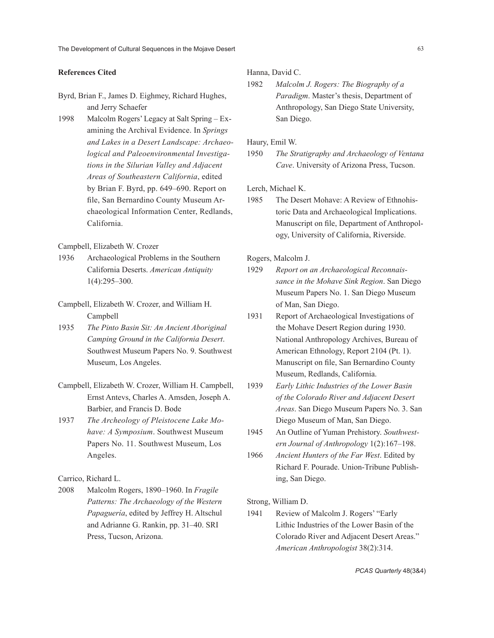#### **References Cited**

- Byrd, Brian F., James D. Eighmey, Richard Hughes, and Jerry Schaefer
- 1998 Malcolm Rogers' Legacy at Salt Spring Examining the Archival Evidence. In *Springs and Lakes in a Desert Landscape: Archaeological and Paleoenvironmental Investigations in the Silurian Valley and Adjacent Areas of Southeastern California*, edited by Brian F. Byrd, pp. 649–690. Report on file, San Bernardino County Museum Archaeological Information Center, Redlands, California.

## Campbell, Elizabeth W. Crozer

- 1936 Archaeological Problems in the Southern California Deserts. *American Antiquity* 1(4):295–300.
- Campbell, Elizabeth W. Crozer, and William H. Campbell
- 1935 *The Pinto Basin Sit: An Ancient Aboriginal Camping Ground in the California Desert*. Southwest Museum Papers No. 9. Southwest Museum, Los Angeles.
- Campbell, Elizabeth W. Crozer, William H. Campbell, Ernst Antevs, Charles A. Amsden, Joseph A. Barbier, and Francis D. Bode
- 1937 *The Archeology of Pleistocene Lake Mohave: A Symposium*. Southwest Museum Papers No. 11. Southwest Museum, Los Angeles.

Carrico, Richard L.

2008 Malcolm Rogers, 1890–1960. In *Fragile Patterns: The Archaeology of the Western Papaguería*, edited by Jeffrey H. Altschul and Adrianne G. Rankin, pp. 31–40. SRI Press, Tucson, Arizona.

## Hanna, David C.

1982 *Malcolm J. Rogers: The Biography of a Paradigm*. Master's thesis, Department of Anthropology, San Diego State University, San Diego.

Haury, Emil W.

1950 *The Stratigraphy and Archaeology of Ventana Cave*. University of Arizona Press, Tucson.

Lerch, Michael K.

1985 The Desert Mohave: A Review of Ethnohistoric Data and Archaeological Implications. Manuscript on file, Department of Anthropology, University of California, Riverside.

Rogers, Malcolm J.

- 1929 *Report on an Archaeological Reconnaissance in the Mohave Sink Region*. San Diego Museum Papers No. 1. San Diego Museum of Man, San Diego.
- 1931 Report of Archaeological Investigations of the Mohave Desert Region during 1930. National Anthropology Archives, Bureau of American Ethnology, Report 2104 (Pt. 1). Manuscript on file, San Bernardino County Museum, Redlands, California.
- 1939 *Early Lithic Industries of the Lower Basin of the Colorado River and Adjacent Desert Areas*. San Diego Museum Papers No. 3. San Diego Museum of Man, San Diego.
- 1945 An Outline of Yuman Prehistory. *Southwestern Journal of Anthropology* 1(2):167–198.
- 1966 *Ancient Hunters of the Far West*. Edited by Richard F. Pourade. Union-Tribune Publishing, San Diego.

Strong, William D.

1941 Review of Malcolm J. Rogers' "Early Lithic Industries of the Lower Basin of the Colorado River and Adjacent Desert Areas." *American Anthropologist* 38(2):314.